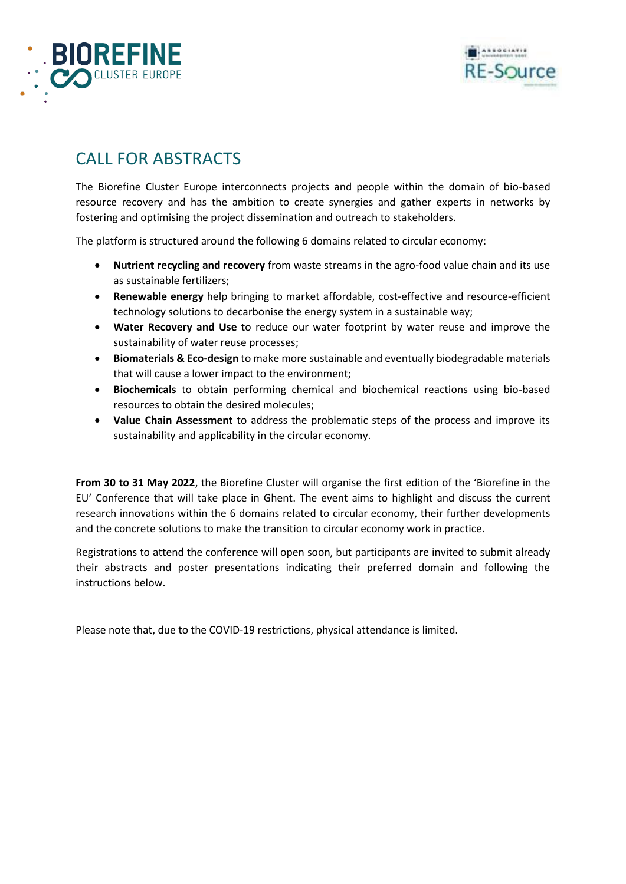



## CALL FOR ABSTRACTS

The Biorefine Cluster Europe interconnects projects and people within the domain of bio-based resource recovery and has the ambition to create synergies and gather experts in networks by fostering and optimising the project dissemination and outreach to stakeholders.

The platform is structured around the following 6 domains related to circular economy:

- **Nutrient recycling and recovery** from waste streams in the agro-food value chain and its use as sustainable fertilizers;
- **Renewable energy** help bringing to market affordable, cost-effective and resource-efficient technology solutions to decarbonise the energy system in a sustainable way;
- **Water Recovery and Use** to reduce our water footprint by water reuse and improve the sustainability of water reuse processes;
- **Biomaterials & Eco-design** to make more sustainable and eventually biodegradable materials that will cause a lower impact to the environment;
- **Biochemicals** to obtain performing chemical and biochemical reactions using bio-based resources to obtain the desired molecules;
- **Value Chain Assessment** to address the problematic steps of the process and improve its sustainability and applicability in the circular economy.

**From 30 to 31 May 2022**, the Biorefine Cluster will organise the first edition of the 'Biorefine in the EU' Conference that will take place in Ghent. The event aims to highlight and discuss the current research innovations within the 6 domains related to circular economy, their further developments and the concrete solutions to make the transition to circular economy work in practice.

Registrations to attend the conference will open soon, but participants are invited to submit already their abstracts and poster presentations indicating their preferred domain and following the instructions below.

Please note that, due to the COVID-19 restrictions, physical attendance is limited.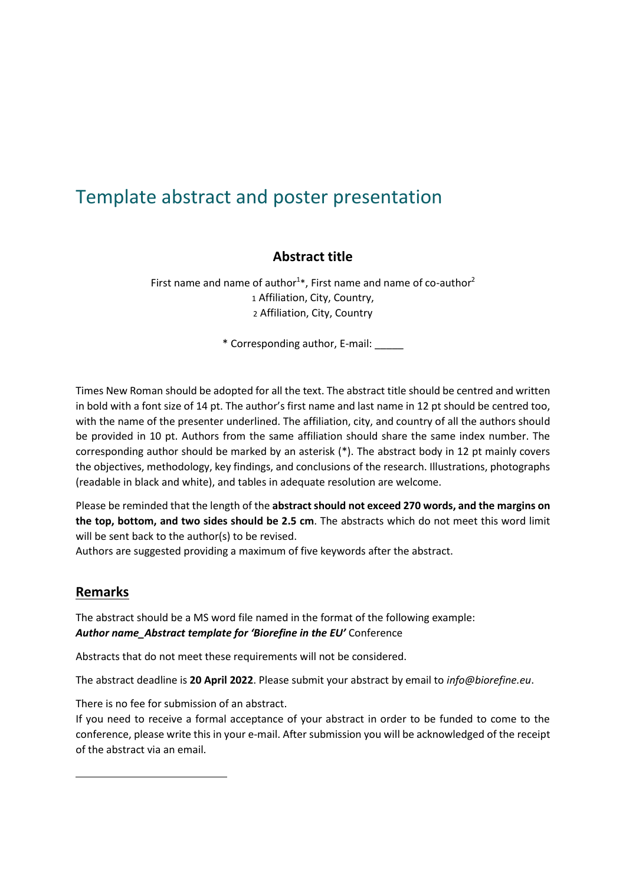# Template abstract and poster presentation

### **Abstract title**

First name and name of author<sup>1\*</sup>, First name and name of co-author<sup>2</sup> 1 Affiliation, City, Country, 2 Affiliation, City, Country

\* Corresponding author, E-mail: \_\_\_\_\_

Times New Roman should be adopted for all the text. The abstract title should be centred and written in bold with a font size of 14 pt. The author's first name and last name in 12 pt should be centred too, with the name of the presenter underlined. The affiliation, city, and country of all the authors should be provided in 10 pt. Authors from the same affiliation should share the same index number. The corresponding author should be marked by an asterisk (\*). The abstract body in 12 pt mainly covers the objectives, methodology, key findings, and conclusions of the research. Illustrations, photographs (readable in black and white), and tables in adequate resolution are welcome.

Please be reminded that the length of the **abstract should not exceed 270 words, and the margins on the top, bottom, and two sides should be 2.5 cm**. The abstracts which do not meet this word limit will be sent back to the author(s) to be revised.

Authors are suggested providing a maximum of five keywords after the abstract.

### **Remarks**

1

The abstract should be a MS word file named in the format of the following example: *Author name\_Abstract template for 'Biorefine in the EU'* Conference

Abstracts that do not meet these requirements will not be considered.

The abstract deadline is **20 April 2022**. Please submit your abstract by email to *info@biorefine.eu*.

There is no fee for submission of an abstract.

If you need to receive a formal acceptance of your abstract in order to be funded to come to the conference, please write this in your e-mail. After submission you will be acknowledged of the receipt of the abstract via an email.